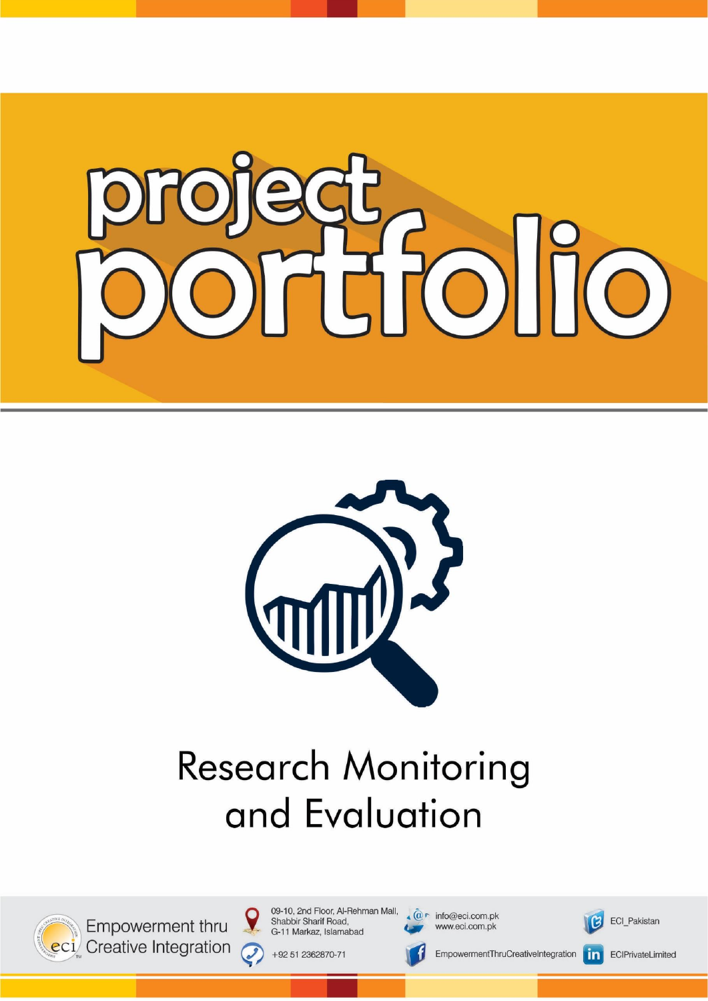



# **Research Monitoring** and Evaluation



Empowerment thru eci Creative Integration 09-10, 2nd Floor, Al-Rehman Mall, Shabbir Sharif Road, G-11 Markaz, Islamabad

+92 51 2362870-71

 $\cal C$ 

 $\widehat{\mathbb{Q}}$  info@eci.com.pk www.eci.com.pk



ECI\_Pakistan

EmpowermentThruCreativeIntegration

 $\vert$  in $\vert$ ECIPrivateLimited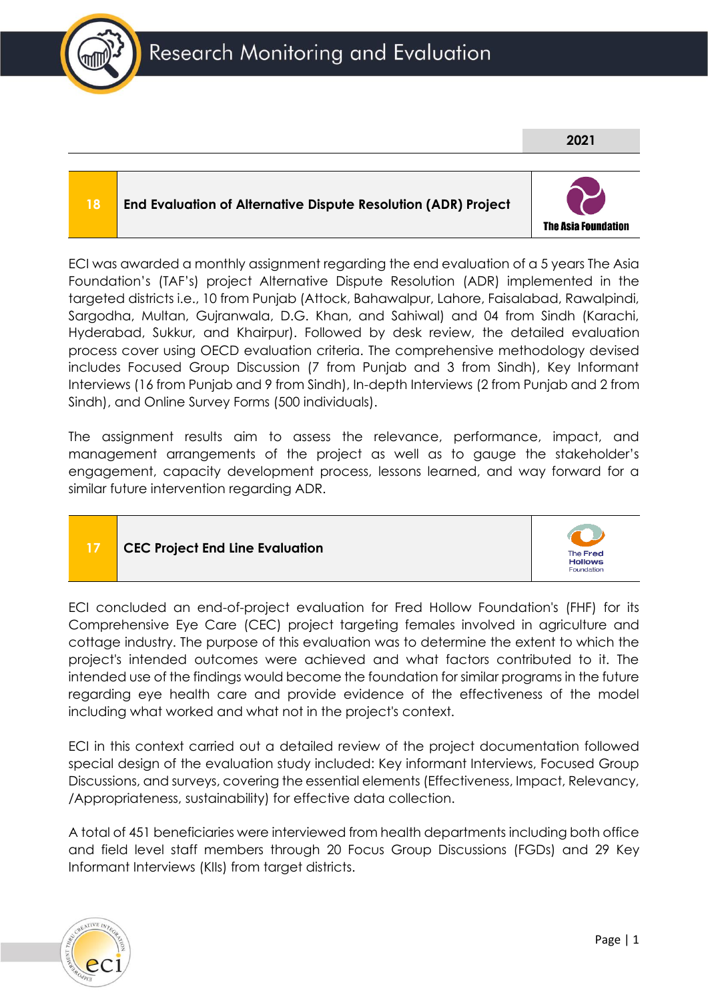

**18 End Evaluation of Alternative Dispute Resolution (ADR) Project**



**2021**

#### ECI was awarded a monthly assignment regarding the end evaluation of a 5 years The Asia Foundation's (TAF's) project Alternative Dispute Resolution (ADR) implemented in the targeted districts i.e., 10 from Punjab (Attock, Bahawalpur, Lahore, Faisalabad, Rawalpindi, Sargodha, Multan, Gujranwala, D.G. Khan, and Sahiwal) and 04 from Sindh (Karachi, Hyderabad, Sukkur, and Khairpur). Followed by desk review, the detailed evaluation process cover using OECD evaluation criteria. The comprehensive methodology devised includes Focused Group Discussion (7 from Punjab and 3 from Sindh), Key Informant Interviews (16 from Punjab and 9 from Sindh), In-depth Interviews (2 from Punjab and 2 from

The assignment results aim to assess the relevance, performance, impact, and management arrangements of the project as well as to gauge the stakeholder's engagement, capacity development process, lessons learned, and way forward for a similar future intervention regarding ADR.

### **17 CEC Project End Line Evaluation**

Sindh), and Online Survey Forms (500 individuals).



ECI concluded an end-of-project evaluation for Fred Hollow Foundation's (FHF) for its Comprehensive Eye Care (CEC) project targeting females involved in agriculture and cottage industry. The purpose of this evaluation was to determine the extent to which the project's intended outcomes were achieved and what factors contributed to it. The intended use of the findings would become the foundation for similar programs in the future regarding eye health care and provide evidence of the effectiveness of the model including what worked and what not in the project's context.

ECI in this context carried out a detailed review of the project documentation followed special design of the evaluation study included: Key informant Interviews, Focused Group Discussions, and surveys, covering the essential elements (Effectiveness, Impact, Relevancy, /Appropriateness, sustainability) for effective data collection.

A total of 451 beneficiaries were interviewed from health departments including both office and field level staff members through 20 Focus Group Discussions (FGDs) and 29 Key Informant Interviews (KIIs) from target districts.

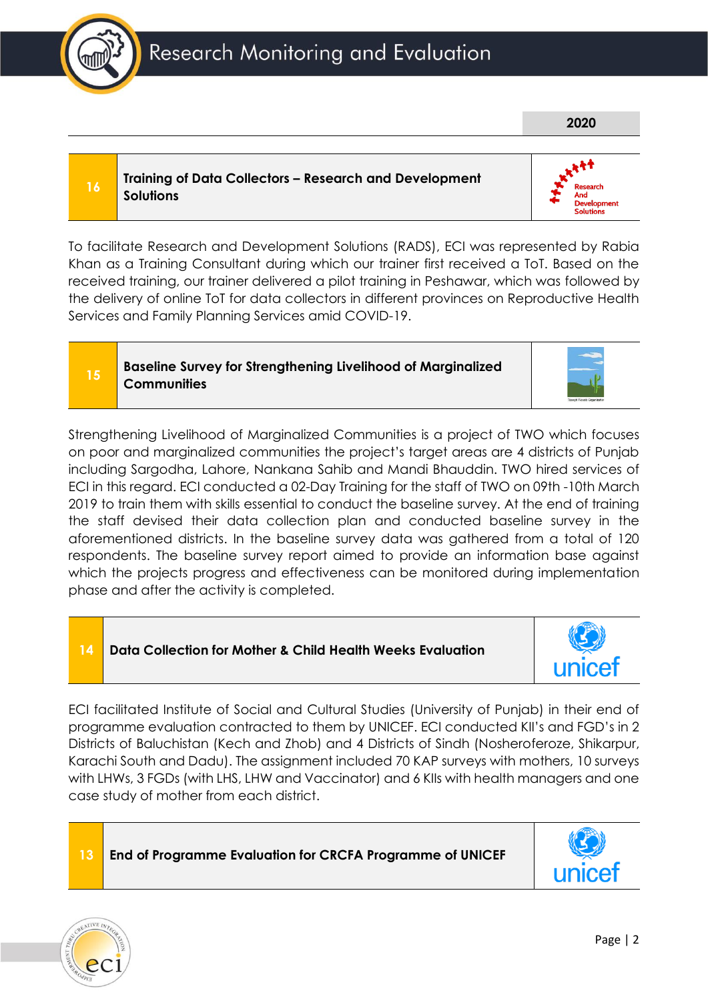## Research Monitoring and Evaluation

#### **<sup>16</sup> Training of Data Collectors – Research and Development Solutions**

To facilitate Research and Development Solutions (RADS), ECI was represented by Rabia Khan as a Training Consultant during which our trainer first received a ToT. Based on the received training, our trainer delivered a pilot training in Peshawar, which was followed by the delivery of online ToT for data collectors in different provinces on Reproductive Health Services and Family Planning Services amid COVID-19.

#### **<sup>15</sup> Baseline Survey for Strengthening Livelihood of Marginalized Communities**

Strengthening Livelihood of Marginalized Communities is a project of TWO which focuses on poor and marginalized communities the project's target areas are 4 districts of Punjab including Sargodha, Lahore, Nankana Sahib and Mandi Bhauddin. TWO hired services of ECI in this regard. ECI conducted a 02-Day Training for the staff of TWO on 09th -10th March 2019 to train them with skills essential to conduct the baseline survey. At the end of training the staff devised their data collection plan and conducted baseline survey in the aforementioned districts. In the baseline survey data was gathered from a total of 120 respondents. The baseline survey report aimed to provide an information base against which the projects progress and effectiveness can be monitored during implementation phase and after the activity is completed.



ECI facilitated Institute of Social and Cultural Studies (University of Punjab) in their end of programme evaluation contracted to them by UNICEF. ECI conducted KII's and FGD's in 2 Districts of Baluchistan (Kech and Zhob) and 4 Districts of Sindh (Nosheroferoze, Shikarpur, Karachi South and Dadu). The assignment included 70 KAP surveys with mothers, 10 surveys with LHWs, 3 FGDs (with LHS, LHW and Vaccinator) and 6 KIIs with health managers and one case study of mother from each district.

#### **13 End of Programme Evaluation for CRCFA Programme of UNICEF**





**2020**





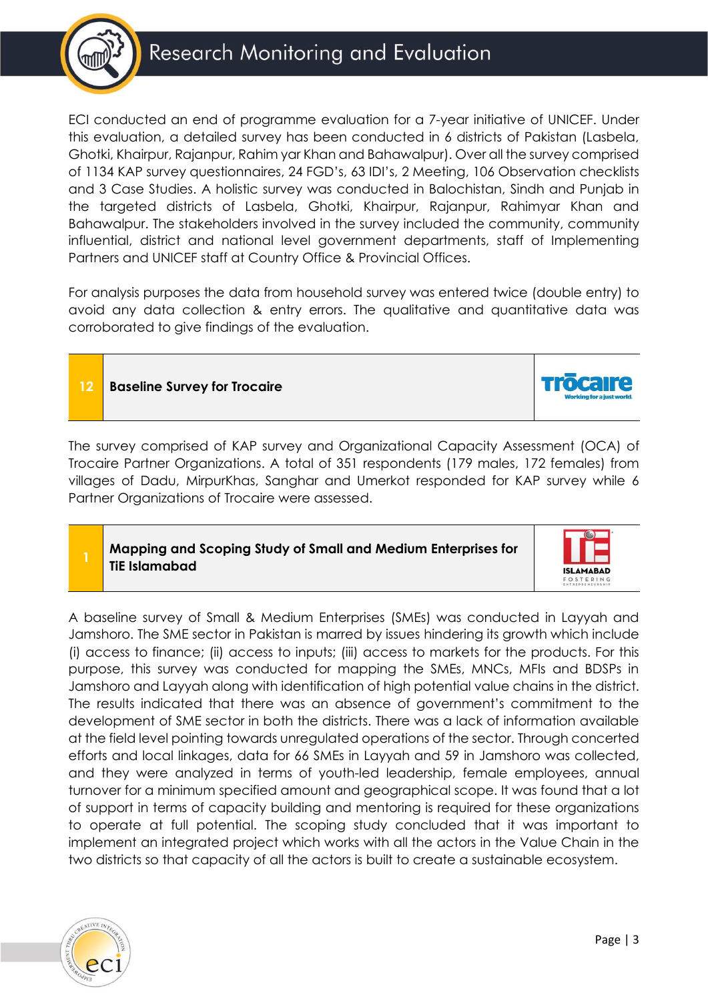

ECI conducted an end of programme evaluation for a 7-year initiative of UNICEF. Under this evaluation, a detailed survey has been conducted in 6 districts of Pakistan (Lasbela, Ghotki, Khairpur, Rajanpur, Rahim yar Khan and Bahawalpur). Over all the survey comprised of 1134 KAP survey questionnaires, 24 FGD's, 63 IDI's, 2 Meeting, 106 Observation checklists and 3 Case Studies. A holistic survey was conducted in Balochistan, Sindh and Punjab in the targeted districts of Lasbela, Ghotki, Khairpur, Rajanpur, Rahimyar Khan and Bahawalpur. The stakeholders involved in the survey included the community, community influential, district and national level government departments, staff of Implementing Partners and UNICEF staff at Country Office & Provincial Offices.

For analysis purposes the data from household survey was entered twice (double entry) to avoid any data collection & entry errors. The qualitative and quantitative data was corroborated to give findings of the evaluation.

**12 Baseline Survey for Trocaire**

The survey comprised of KAP survey and Organizational Capacity Assessment (OCA) of Trocaire Partner Organizations. A total of 351 respondents (179 males, 172 females) from villages of Dadu, MirpurKhas, Sanghar and Umerkot responded for KAP survey while 6 Partner Organizations of Trocaire were assessed.

**Mapping and Scoping Study of Small and Medium Enterprises for TiE Islamabad**



A baseline survey of Small & Medium Enterprises (SMEs) was conducted in Layyah and Jamshoro. The SME sector in Pakistan is marred by issues hindering its growth which include (i) access to finance; (ii) access to inputs; (iii) access to markets for the products. For this purpose, this survey was conducted for mapping the SMEs, MNCs, MFIs and BDSPs in Jamshoro and Layyah along with identification of high potential value chains in the district. The results indicated that there was an absence of government's commitment to the development of SME sector in both the districts. There was a lack of information available at the field level pointing towards unregulated operations of the sector. Through concerted efforts and local linkages, data for 66 SMEs in Layyah and 59 in Jamshoro was collected, and they were analyzed in terms of youth-led leadership, female employees, annual turnover for a minimum specified amount and geographical scope. It was found that a lot of support in terms of capacity building and mentoring is required for these organizations to operate at full potential. The scoping study concluded that it was important to implement an integrated project which works with all the actors in the Value Chain in the two districts so that capacity of all the actors is built to create a sustainable ecosystem.

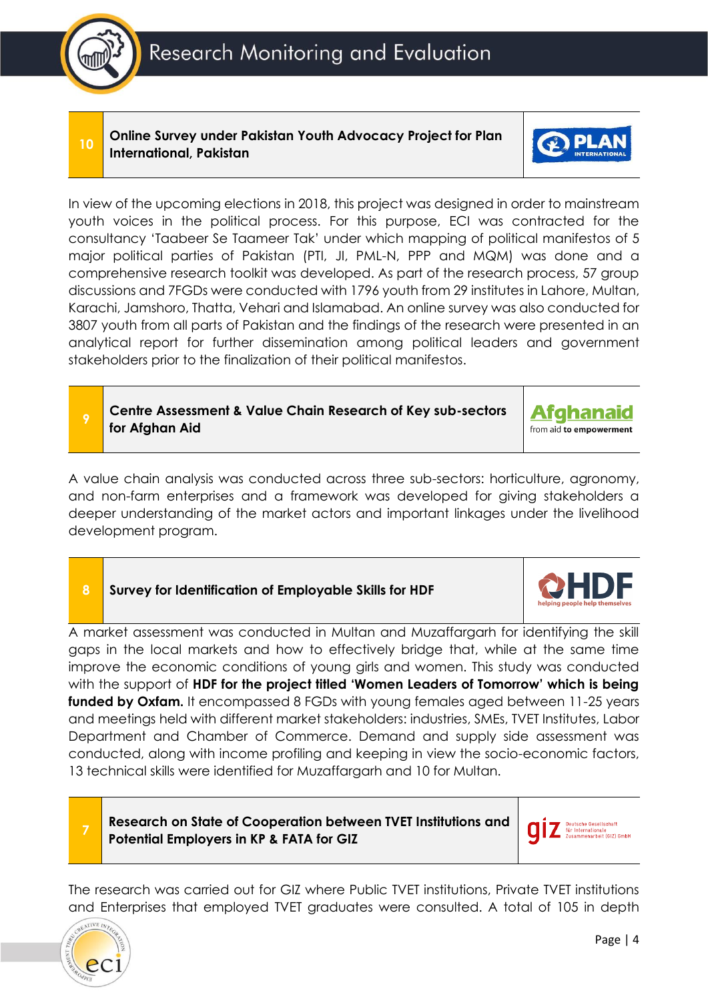Research Monitoring and Evaluation

**<sup>10</sup> Online Survey under Pakistan Youth Advocacy Project for Plan International, Pakistan**



**Centre Assessment & Value Chain Research of Key sub-sectors for Afghan Aid**

A value chain analysis was conducted across three sub-sectors: horticulture, agronomy, and non-farm enterprises and a framework was developed for giving stakeholders a deeper understanding of the market actors and important linkages under the livelihood development program.

#### **8 Survey for Identification of Employable Skills for HDF**

A market assessment was conducted in Multan and Muzaffargarh for identifying the skill gaps in the local markets and how to effectively bridge that, while at the same time improve the economic conditions of young girls and women. This study was conducted with the support of **HDF for the project titled 'Women Leaders of Tomorrow' which is being funded by Oxfam.** It encompassed 8 FGDs with young females aged between 11-25 years and meetings held with different market stakeholders: industries, SMEs, TVET Institutes, Labor Department and Chamber of Commerce. Demand and supply side assessment was conducted, along with income profiling and keeping in view the socio-economic factors, 13 technical skills were identified for Muzaffargarh and 10 for Multan.

**Research on State of Cooperation between TVET Institutions and Potential Employers in KP & FATA for GIZ**

nternationale<br>mmenarheif (GIZ) GmhH

The research was carried out for GIZ where Public TVET institutions, Private TVET institutions and Enterprises that employed TVET graduates were consulted. A total of 105 in depth







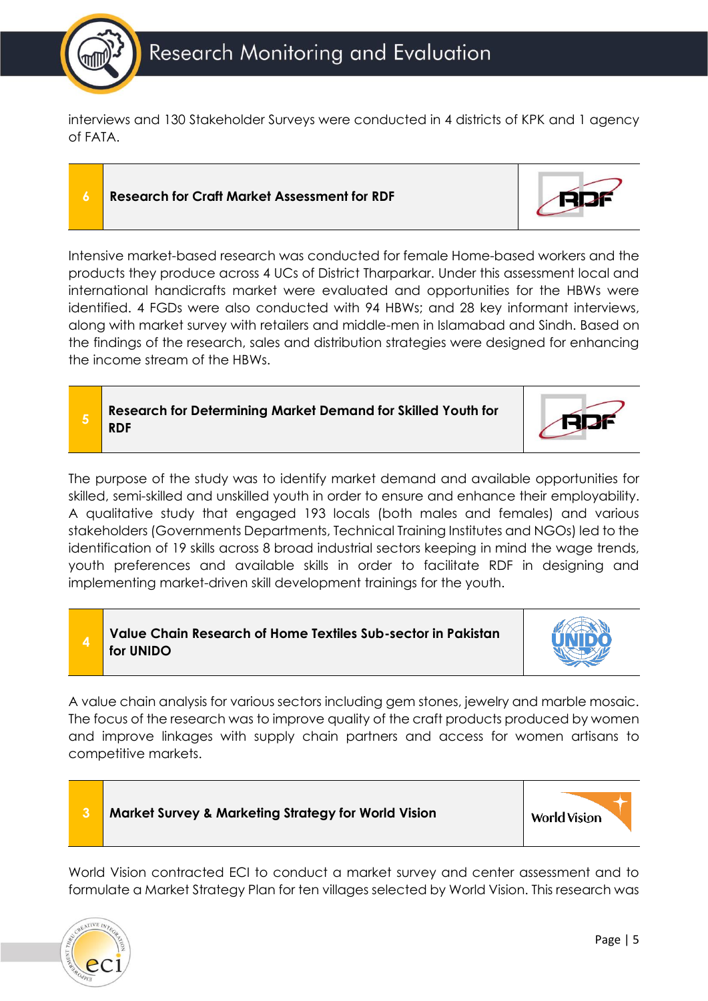

interviews and 130 Stakeholder Surveys were conducted in 4 districts of KPK and 1 agency of FATA.

#### **6 Research for Craft Market Assessment for RDF**



**5 Research for Determining Market Demand for Skilled Youth for RDF**

The purpose of the study was to identify market demand and available opportunities for skilled, semi-skilled and unskilled youth in order to ensure and enhance their employability. A qualitative study that engaged 193 locals (both males and females) and various stakeholders (Governments Departments, Technical Training Institutes and NGOs) led to the identification of 19 skills across 8 broad industrial sectors keeping in mind the wage trends, youth preferences and available skills in order to facilitate RDF in designing and implementing market-driven skill development trainings for the youth.

#### **Value Chain Research of Home Textiles Sub-sector in Pakistan for UNIDO**

A value chain analysis for various sectors including gem stones, jewelry and marble mosaic. The focus of the research was to improve quality of the craft products produced by women and improve linkages with supply chain partners and access for women artisans to competitive markets.



World Vision contracted ECI to conduct a market survey and center assessment and to formulate a Market Strategy Plan for ten villages selected by World Vision. This research was